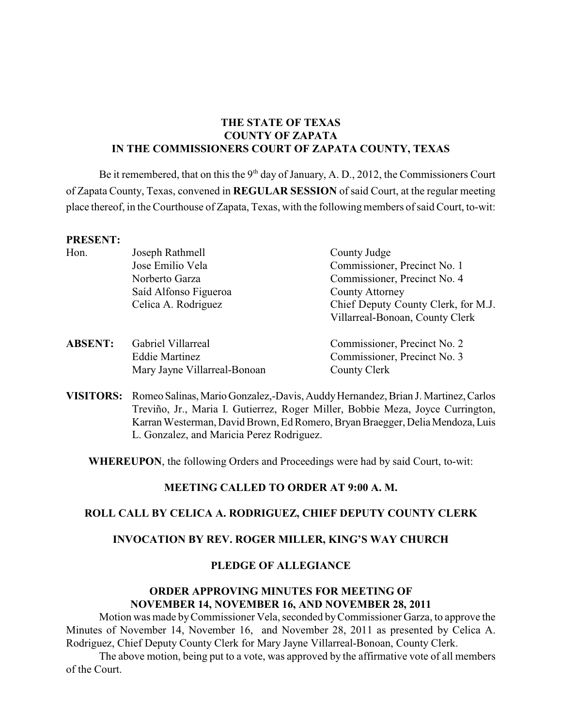# **THE STATE OF TEXAS COUNTY OF ZAPATA IN THE COMMISSIONERS COURT OF ZAPATA COUNTY, TEXAS**

Be it remembered, that on this the  $9<sup>th</sup>$  day of January, A. D., 2012, the Commissioners Court of Zapata County, Texas, convened in **REGULAR SESSION** of said Court, at the regular meeting place thereof, in the Courthouse of Zapata, Texas, with the following members of said Court, to-wit:

#### **PRESENT:**

| Hon.           | Joseph Rathmell              | County Judge                        |  |
|----------------|------------------------------|-------------------------------------|--|
|                | Jose Emilio Vela             | Commissioner, Precinct No. 1        |  |
|                | Norberto Garza               | Commissioner, Precinct No. 4        |  |
|                | Saíd Alfonso Figueroa        | <b>County Attorney</b>              |  |
|                | Celica A. Rodriguez          | Chief Deputy County Clerk, for M.J. |  |
|                |                              | Villarreal-Bonoan, County Clerk     |  |
| <b>ABSENT:</b> | Gabriel Villarreal           | Commissioner, Precinct No. 2        |  |
|                | <b>Eddie Martinez</b>        | Commissioner, Precinct No. 3        |  |
|                | Mary Jayne Villarreal-Bonoan | County Clerk                        |  |

**VISITORS:** Romeo Salinas, Mario Gonzalez,-Davis, Auddy Hernandez, Brian J. Martinez, Carlos Treviño, Jr., Maria I. Gutierrez, Roger Miller, Bobbie Meza, Joyce Currington, Karran Westerman, David Brown, Ed Romero, Bryan Braegger, Delia Mendoza, Luis L. Gonzalez, and Maricia Perez Rodriguez.

**WHEREUPON**, the following Orders and Proceedings were had by said Court, to-wit:

### **MEETING CALLED TO ORDER AT 9:00 A. M.**

# **ROLL CALL BY CELICA A. RODRIGUEZ, CHIEF DEPUTY COUNTY CLERK**

#### **INVOCATION BY REV. ROGER MILLER, KING'S WAY CHURCH**

### **PLEDGE OF ALLEGIANCE**

# **ORDER APPROVING MINUTES FOR MEETING OF NOVEMBER 14, NOVEMBER 16, AND NOVEMBER 28, 2011**

Motion was made by Commissioner Vela, seconded by Commissioner Garza, to approve the Minutes of November 14, November 16, and November 28, 2011 as presented by Celica A. Rodriguez, Chief Deputy County Clerk for Mary Jayne Villarreal-Bonoan, County Clerk.

The above motion, being put to a vote, was approved by the affirmative vote of all members of the Court.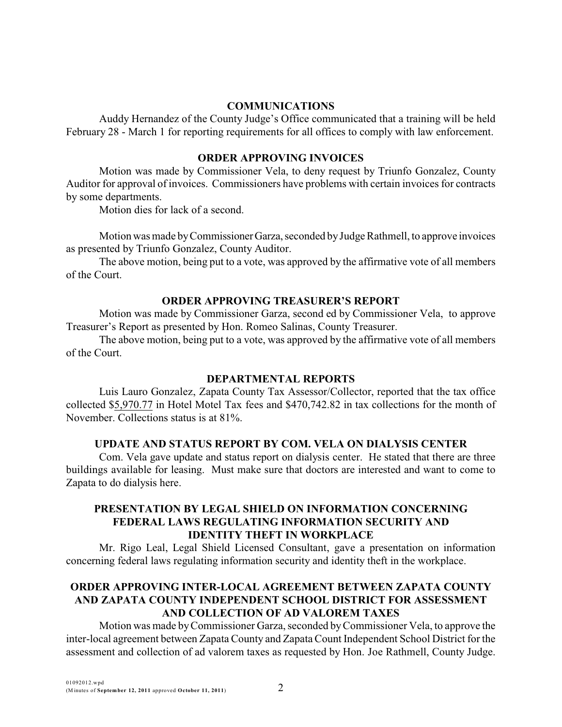### **COMMUNICATIONS**

Auddy Hernandez of the County Judge's Office communicated that a training will be held February 28 - March 1 for reporting requirements for all offices to comply with law enforcement.

### **ORDER APPROVING INVOICES**

Motion was made by Commissioner Vela, to deny request by Triunfo Gonzalez, County Auditor for approval of invoices. Commissioners have problems with certain invoices for contracts by some departments.

Motion dies for lack of a second.

Motion was made by Commissioner Garza, seconded by Judge Rathmell, to approve invoices as presented by Triunfo Gonzalez, County Auditor.

The above motion, being put to a vote, was approved by the affirmative vote of all members of the Court.

### **ORDER APPROVING TREASURER'S REPORT**

Motion was made by Commissioner Garza, second ed by Commissioner Vela, to approve Treasurer's Report as presented by Hon. Romeo Salinas, County Treasurer.

The above motion, being put to a vote, was approved by the affirmative vote of all members of the Court.

# **DEPARTMENTAL REPORTS**

Luis Lauro Gonzalez, Zapata County Tax Assessor/Collector, reported that the tax office collected \$5,970.77 in Hotel Motel Tax fees and \$470,742.82 in tax collections for the month of November. Collections status is at 81%.

# **UPDATE AND STATUS REPORT BY COM. VELA ON DIALYSIS CENTER**

Com. Vela gave update and status report on dialysis center. He stated that there are three buildings available for leasing. Must make sure that doctors are interested and want to come to Zapata to do dialysis here.

## **PRESENTATION BY LEGAL SHIELD ON INFORMATION CONCERNING FEDERAL LAWS REGULATING INFORMATION SECURITY AND IDENTITY THEFT IN WORKPLACE**

Mr. Rigo Leal, Legal Shield Licensed Consultant, gave a presentation on information concerning federal laws regulating information security and identity theft in the workplace.

# **ORDER APPROVING INTER-LOCAL AGREEMENT BETWEEN ZAPATA COUNTY AND ZAPATA COUNTY INDEPENDENT SCHOOL DISTRICT FOR ASSESSMENT AND COLLECTION OF AD VALOREM TAXES**

Motion was made by Commissioner Garza, seconded by Commissioner Vela, to approve the inter-local agreement between Zapata County and Zapata Count Independent School District for the assessment and collection of ad valorem taxes as requested by Hon. Joe Rathmell, County Judge.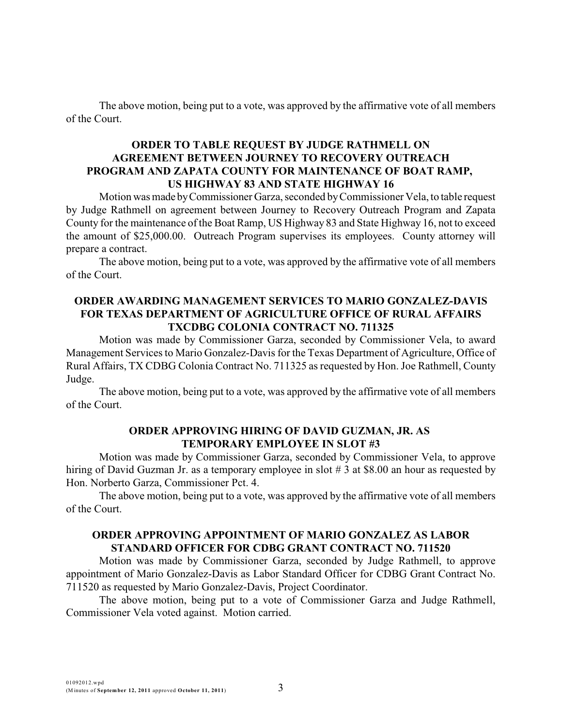The above motion, being put to a vote, was approved by the affirmative vote of all members of the Court.

### **ORDER TO TABLE REQUEST BY JUDGE RATHMELL ON AGREEMENT BETWEEN JOURNEY TO RECOVERY OUTREACH PROGRAM AND ZAPATA COUNTY FOR MAINTENANCE OF BOAT RAMP, US HIGHWAY 83 AND STATE HIGHWAY 16**

Motion was made by Commissioner Garza, seconded by Commissioner Vela, to table request by Judge Rathmell on agreement between Journey to Recovery Outreach Program and Zapata County for the maintenance of the Boat Ramp, US Highway 83 and State Highway 16, not to exceed the amount of \$25,000.00. Outreach Program supervises its employees. County attorney will prepare a contract.

The above motion, being put to a vote, was approved by the affirmative vote of all members of the Court.

## **ORDER AWARDING MANAGEMENT SERVICES TO MARIO GONZALEZ-DAVIS FOR TEXAS DEPARTMENT OF AGRICULTURE OFFICE OF RURAL AFFAIRS TXCDBG COLONIA CONTRACT NO. 711325**

Motion was made by Commissioner Garza, seconded by Commissioner Vela, to award Management Services to Mario Gonzalez-Davis for the Texas Department of Agriculture, Office of Rural Affairs, TX CDBG Colonia Contract No. 711325 as requested by Hon. Joe Rathmell, County Judge.

The above motion, being put to a vote, was approved by the affirmative vote of all members of the Court.

### **ORDER APPROVING HIRING OF DAVID GUZMAN, JR. AS TEMPORARY EMPLOYEE IN SLOT #3**

Motion was made by Commissioner Garza, seconded by Commissioner Vela, to approve hiring of David Guzman Jr. as a temporary employee in slot # 3 at \$8.00 an hour as requested by Hon. Norberto Garza, Commissioner Pct. 4.

The above motion, being put to a vote, was approved by the affirmative vote of all members of the Court.

# **ORDER APPROVING APPOINTMENT OF MARIO GONZALEZ AS LABOR STANDARD OFFICER FOR CDBG GRANT CONTRACT NO. 711520**

Motion was made by Commissioner Garza, seconded by Judge Rathmell, to approve appointment of Mario Gonzalez-Davis as Labor Standard Officer for CDBG Grant Contract No. 711520 as requested by Mario Gonzalez-Davis, Project Coordinator.

The above motion, being put to a vote of Commissioner Garza and Judge Rathmell, Commissioner Vela voted against. Motion carried.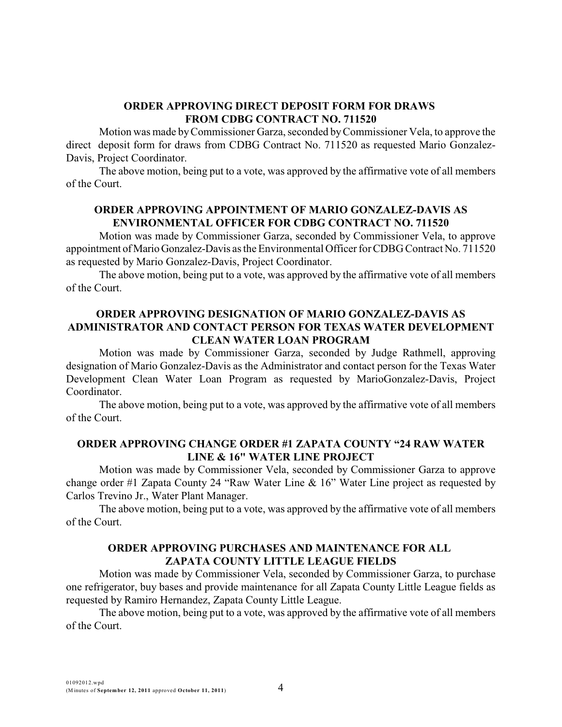### **ORDER APPROVING DIRECT DEPOSIT FORM FOR DRAWS FROM CDBG CONTRACT NO. 711520**

Motion was made by Commissioner Garza, seconded by Commissioner Vela, to approve the direct deposit form for draws from CDBG Contract No. 711520 as requested Mario Gonzalez-Davis, Project Coordinator.

The above motion, being put to a vote, was approved by the affirmative vote of all members of the Court.

# **ORDER APPROVING APPOINTMENT OF MARIO GONZALEZ-DAVIS AS ENVIRONMENTAL OFFICER FOR CDBG CONTRACT NO. 711520**

Motion was made by Commissioner Garza, seconded by Commissioner Vela, to approve appointment of Mario Gonzalez-Davis as the Environmental Officer for CDBG Contract No. 711520 as requested by Mario Gonzalez-Davis, Project Coordinator.

The above motion, being put to a vote, was approved by the affirmative vote of all members of the Court.

# **ORDER APPROVING DESIGNATION OF MARIO GONZALEZ-DAVIS AS ADMINISTRATOR AND CONTACT PERSON FOR TEXAS WATER DEVELOPMENT CLEAN WATER LOAN PROGRAM**

Motion was made by Commissioner Garza, seconded by Judge Rathmell, approving designation of Mario Gonzalez-Davis as the Administrator and contact person for the Texas Water Development Clean Water Loan Program as requested by MarioGonzalez-Davis, Project Coordinator.

The above motion, being put to a vote, was approved by the affirmative vote of all members of the Court.

### **ORDER APPROVING CHANGE ORDER #1 ZAPATA COUNTY "24 RAW WATER LINE & 16" WATER LINE PROJECT**

Motion was made by Commissioner Vela, seconded by Commissioner Garza to approve change order #1 Zapata County 24 "Raw Water Line & 16" Water Line project as requested by Carlos Trevino Jr., Water Plant Manager.

The above motion, being put to a vote, was approved by the affirmative vote of all members of the Court.

## **ORDER APPROVING PURCHASES AND MAINTENANCE FOR ALL ZAPATA COUNTY LITTLE LEAGUE FIELDS**

Motion was made by Commissioner Vela, seconded by Commissioner Garza, to purchase one refrigerator, buy bases and provide maintenance for all Zapata County Little League fields as requested by Ramiro Hernandez, Zapata County Little League.

The above motion, being put to a vote, was approved by the affirmative vote of all members of the Court.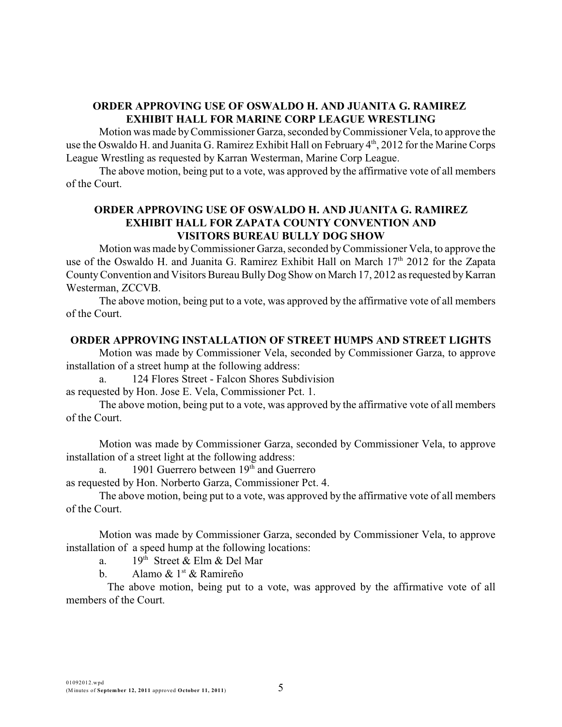# **ORDER APPROVING USE OF OSWALDO H. AND JUANITA G. RAMIREZ EXHIBIT HALL FOR MARINE CORP LEAGUE WRESTLING**

Motion was made by Commissioner Garza, seconded by Commissioner Vela, to approve the use the Oswaldo H. and Juanita G. Ramirez Exhibit Hall on February 4<sup>th</sup>, 2012 for the Marine Corps League Wrestling as requested by Karran Westerman, Marine Corp League.

The above motion, being put to a vote, was approved by the affirmative vote of all members of the Court.

# **ORDER APPROVING USE OF OSWALDO H. AND JUANITA G. RAMIREZ EXHIBIT HALL FOR ZAPATA COUNTY CONVENTION AND VISITORS BUREAU BULLY DOG SHOW**

Motion was made by Commissioner Garza, seconded by Commissioner Vela, to approve the use of the Oswaldo H. and Juanita G. Ramirez Exhibit Hall on March  $17<sup>th</sup>$  2012 for the Zapata County Convention and Visitors Bureau Bully Dog Show on March 17, 2012 as requested by Karran Westerman, ZCCVB.

The above motion, being put to a vote, was approved by the affirmative vote of all members of the Court.

# **ORDER APPROVING INSTALLATION OF STREET HUMPS AND STREET LIGHTS**

Motion was made by Commissioner Vela, seconded by Commissioner Garza, to approve installation of a street hump at the following address:

a. 124 Flores Street - Falcon Shores Subdivision

as requested by Hon. Jose E. Vela, Commissioner Pct. 1.

The above motion, being put to a vote, was approved by the affirmative vote of all members of the Court.

Motion was made by Commissioner Garza, seconded by Commissioner Vela, to approve installation of a street light at the following address:

a. 1901 Guerrero between  $19<sup>th</sup>$  and Guerrero

as requested by Hon. Norberto Garza, Commissioner Pct. 4.

The above motion, being put to a vote, was approved by the affirmative vote of all members of the Court.

Motion was made by Commissioner Garza, seconded by Commissioner Vela, to approve installation of a speed hump at the following locations:

a.  $19<sup>th</sup>$  Street & Elm & Del Mar

b. Alamo  $\&$  1<sup>st</sup>  $\&$  Ramireño

The above motion, being put to a vote, was approved by the affirmative vote of all members of the Court.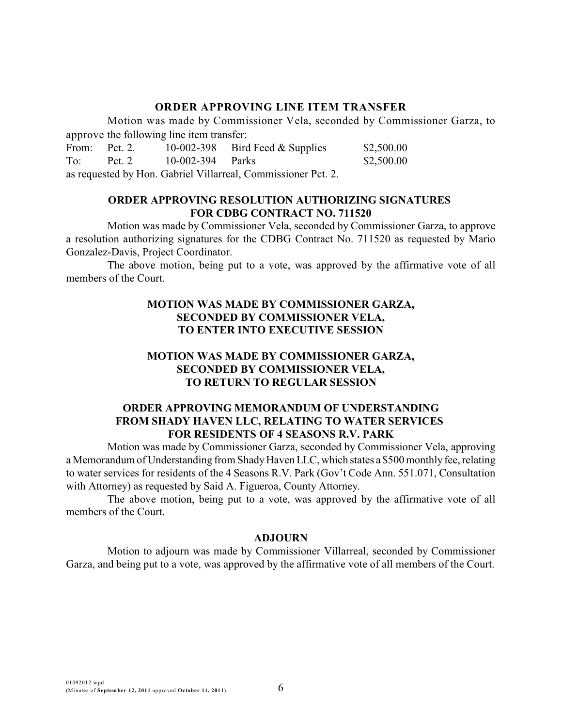### **ORDER APPROVING LINE ITEM TRANSFER**

Motion was made by Commissioner Vela, seconded by Commissioner Garza, to approve the following line item transfer:

| From:                                                         | Pct. 2.  |                  | 10-002-398 Bird Feed $&$ Supplies | \$2,500.00 |
|---------------------------------------------------------------|----------|------------------|-----------------------------------|------------|
| To:                                                           | Pct. $2$ | 10-002-394 Parks |                                   | \$2,500.00 |
| as requested by Hon. Gabriel Villarreal, Commissioner Pct. 2. |          |                  |                                   |            |

### **ORDER APPROVING RESOLUTION AUTHORIZING SIGNATURES FOR CDBG CONTRACT NO. 711520**

Motion was made by Commissioner Vela, seconded by Commissioner Garza, to approve a resolution authorizing signatures for the CDBG Contract No. 711520 as requested by Mario Gonzalez-Davis, Project Coordinator.

The above motion, being put to a vote, was approved by the affirmative vote of all members of the Court.

# **MOTION WAS MADE BY COMMISSIONER GARZA, SECONDED BY COMMISSIONER VELA, TO ENTER INTO EXECUTIVE SESSION**

# **MOTION WAS MADE BY COMMISSIONER GARZA, SECONDED BY COMMISSIONER VELA, TO RETURN TO REGULAR SESSION**

# **ORDER APPROVING MEMORANDUM OF UNDERSTANDING FROM SHADY HAVEN LLC, RELATING TO WATER SERVICES FOR RESIDENTS OF 4 SEASONS R.V. PARK**

Motion was made by Commissioner Garza, seconded by Commissioner Vela, approving a Memorandum of Understanding from Shady Haven LLC, which states a \$500 monthly fee, relating to water services for residents of the 4 Seasons R.V. Park (Gov't Code Ann. 551.071, Consultation with Attorney) as requested by Said A. Figueroa, County Attorney.

The above motion, being put to a vote, was approved by the affirmative vote of all members of the Court.

### **ADJOURN**

Motion to adjourn was made by Commissioner Villarreal, seconded by Commissioner Garza, and being put to a vote, was approved by the affirmative vote of all members of the Court.